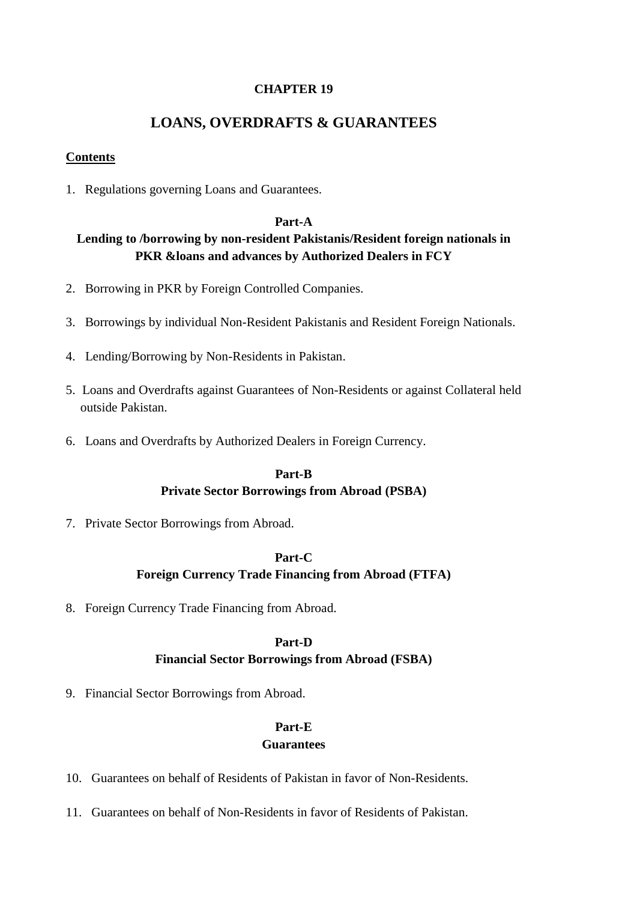#### **CHAPTER 19**

# **LOANS, OVERDRAFTS & GUARANTEES**

#### **Contents**

1. Regulations governing Loans and Guarantees.

#### **Part-A**

## **Lending to /borrowing by non-resident Pakistanis/Resident foreign nationals in PKR &loans and advances by Authorized Dealers in FCY**

- 2. Borrowing in PKR by Foreign Controlled Companies.
- 3. Borrowings by individual Non-Resident Pakistanis and Resident Foreign Nationals.
- 4. Lending/Borrowing by Non-Residents in Pakistan.
- 5. Loans and Overdrafts against Guarantees of Non-Residents or against Collateral held outside Pakistan.
- 6. Loans and Overdrafts by Authorized Dealers in Foreign Currency.

#### **Part-B**

# **Private Sector Borrowings from Abroad (PSBA)**

7. Private Sector Borrowings from Abroad.

#### **Part-C**

## **Foreign Currency Trade Financing from Abroad (FTFA)**

8. Foreign Currency Trade Financing from Abroad.

#### **Part-D**

## **Financial Sector Borrowings from Abroad (FSBA)**

9. Financial Sector Borrowings from Abroad.

## **Part-E**

## **Guarantees**

- 10. Guarantees on behalf of Residents of Pakistan in favor of Non-Residents.
- 11. Guarantees on behalf of Non-Residents in favor of Residents of Pakistan.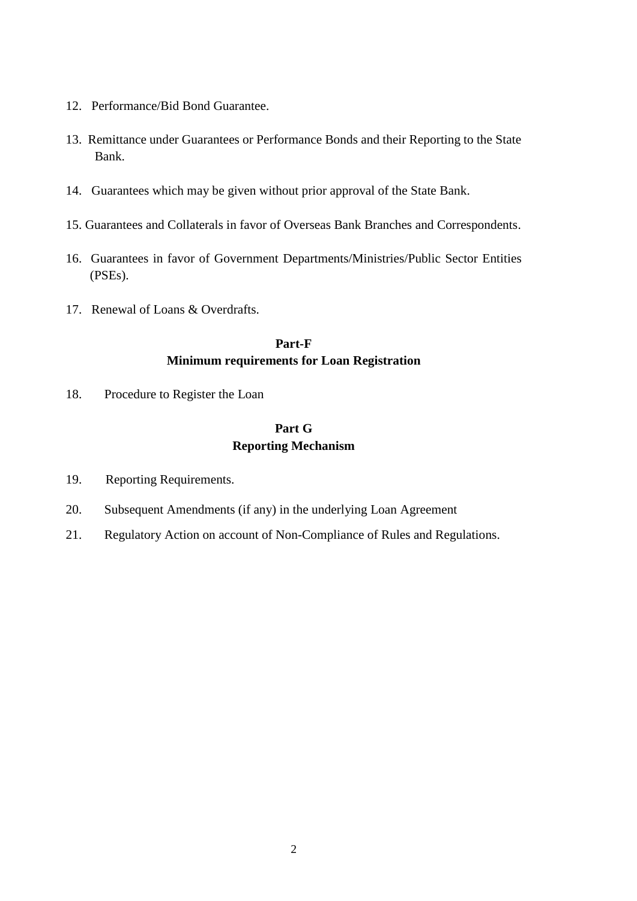- 12. Performance/Bid Bond Guarantee.
- 13. Remittance under Guarantees or Performance Bonds and their Reporting to the State Bank.
- 14. Guarantees which may be given without prior approval of the State Bank.
- 15. Guarantees and Collaterals in favor of Overseas Bank Branches and Correspondents.
- 16. Guarantees in favor of Government Departments/Ministries/Public Sector Entities (PSEs).
- 17. Renewal of Loans & Overdrafts.

## **Part-F Minimum requirements for Loan Registration**

18. Procedure to Register the Loan

# **Part G Reporting Mechanism**

- 19. Reporting Requirements.
- 20. Subsequent Amendments (if any) in the underlying Loan Agreement
- 21. Regulatory Action on account of Non-Compliance of Rules and Regulations.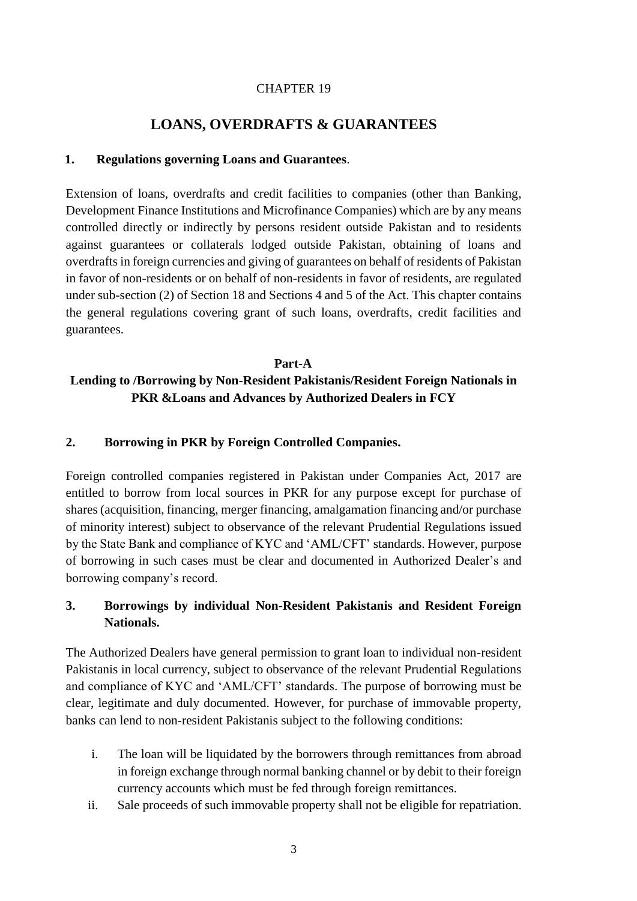## CHAPTER 19

# **LOANS, OVERDRAFTS & GUARANTEES**

### **1. Regulations governing Loans and Guarantees**.

Extension of loans, overdrafts and credit facilities to companies (other than Banking, Development Finance Institutions and Microfinance Companies) which are by any means controlled directly or indirectly by persons resident outside Pakistan and to residents against guarantees or collaterals lodged outside Pakistan, obtaining of loans and overdrafts in foreign currencies and giving of guarantees on behalf of residents of Pakistan in favor of non-residents or on behalf of non-residents in favor of residents, are regulated under sub-section (2) of Section 18 and Sections 4 and 5 of the Act. This chapter contains the general regulations covering grant of such loans, overdrafts, credit facilities and guarantees.

#### **Part-A**

# **Lending to /Borrowing by Non-Resident Pakistanis/Resident Foreign Nationals in PKR &Loans and Advances by Authorized Dealers in FCY**

### **2. Borrowing in PKR by Foreign Controlled Companies.**

Foreign controlled companies registered in Pakistan under Companies Act, 2017 are entitled to borrow from local sources in PKR for any purpose except for purchase of shares (acquisition, financing, merger financing, amalgamation financing and/or purchase of minority interest) subject to observance of the relevant Prudential Regulations issued by the State Bank and compliance of KYC and 'AML/CFT' standards. However, purpose of borrowing in such cases must be clear and documented in Authorized Dealer's and borrowing company's record.

# **3. Borrowings by individual Non-Resident Pakistanis and Resident Foreign Nationals.**

The Authorized Dealers have general permission to grant loan to individual non-resident Pakistanis in local currency, subject to observance of the relevant Prudential Regulations and compliance of KYC and 'AML/CFT' standards. The purpose of borrowing must be clear, legitimate and duly documented. However, for purchase of immovable property, banks can lend to non-resident Pakistanis subject to the following conditions:

- i. The loan will be liquidated by the borrowers through remittances from abroad in foreign exchange through normal banking channel or by debit to their foreign currency accounts which must be fed through foreign remittances.
- ii. Sale proceeds of such immovable property shall not be eligible for repatriation.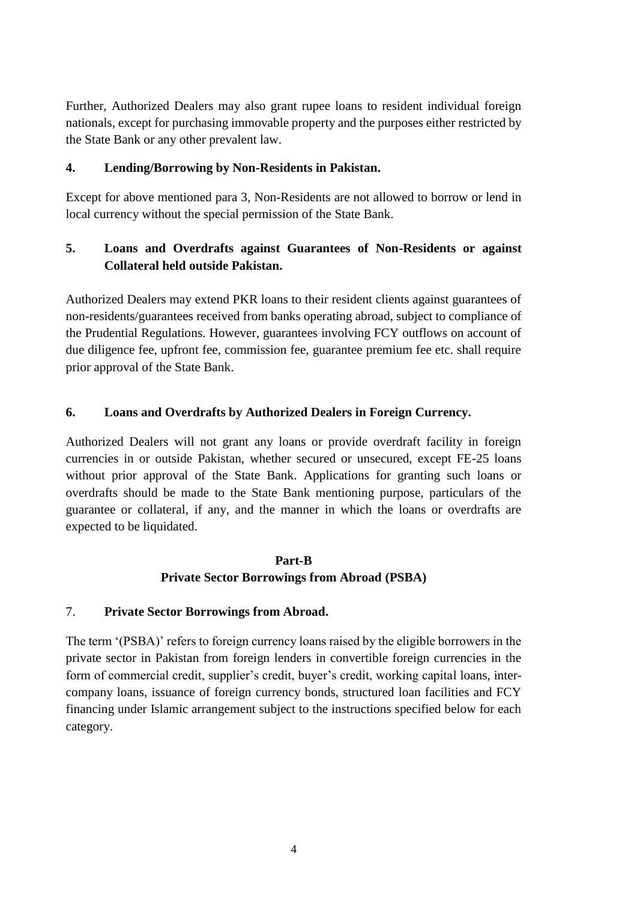Further, Authorized Dealers may also grant rupee loans to resident individual foreign nationals, except for purchasing immovable property and the purposes either restricted by the State Bank or any other prevalent law.

## **4. Lending/Borrowing by Non-Residents in Pakistan.**

Except for above mentioned para 3, Non-Residents are not allowed to borrow or lend in local currency without the special permission of the State Bank.

# **5. Loans and Overdrafts against Guarantees of Non-Residents or against Collateral held outside Pakistan.**

Authorized Dealers may extend PKR loans to their resident clients against guarantees of non-residents/guarantees received from banks operating abroad, subject to compliance of the Prudential Regulations. However, guarantees involving FCY outflows on account of due diligence fee, upfront fee, commission fee, guarantee premium fee etc. shall require prior approval of the State Bank.

# **6. Loans and Overdrafts by Authorized Dealers in Foreign Currency.**

Authorized Dealers will not grant any loans or provide overdraft facility in foreign currencies in or outside Pakistan, whether secured or unsecured, except FE-25 loans without prior approval of the State Bank. Applications for granting such loans or overdrafts should be made to the State Bank mentioning purpose, particulars of the guarantee or collateral, if any, and the manner in which the loans or overdrafts are expected to be liquidated.

# **Part-B Private Sector Borrowings from Abroad (PSBA)**

## 7. **Private Sector Borrowings from Abroad.**

The term '(PSBA)' refers to foreign currency loans raised by the eligible borrowers in the private sector in Pakistan from foreign lenders in convertible foreign currencies in the form of commercial credit, supplier's credit, buyer's credit, working capital loans, intercompany loans, issuance of foreign currency bonds, structured loan facilities and FCY financing under Islamic arrangement subject to the instructions specified below for each category.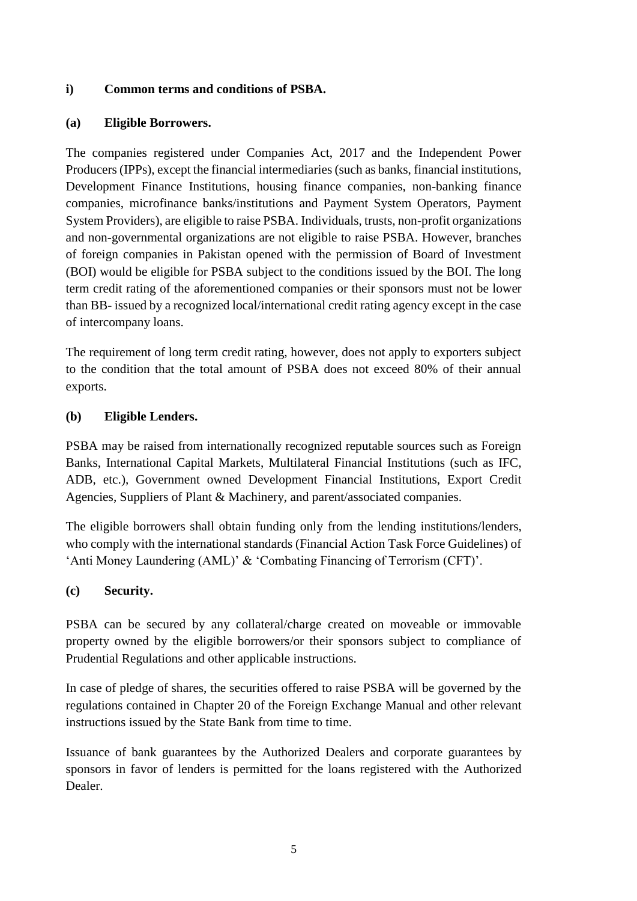## **i) Common terms and conditions of PSBA.**

### **(a) Eligible Borrowers.**

The companies registered under Companies Act, 2017 and the Independent Power Producers (IPPs), except the financial intermediaries (such as banks, financial institutions, Development Finance Institutions, housing finance companies, non-banking finance companies, microfinance banks/institutions and Payment System Operators, Payment System Providers), are eligible to raise PSBA. Individuals, trusts, non-profit organizations and non-governmental organizations are not eligible to raise PSBA. However, branches of foreign companies in Pakistan opened with the permission of Board of Investment (BOI) would be eligible for PSBA subject to the conditions issued by the BOI. The long term credit rating of the aforementioned companies or their sponsors must not be lower than BB- issued by a recognized local/international credit rating agency except in the case of intercompany loans.

The requirement of long term credit rating, however, does not apply to exporters subject to the condition that the total amount of PSBA does not exceed 80% of their annual exports.

### **(b) Eligible Lenders.**

PSBA may be raised from internationally recognized reputable sources such as Foreign Banks, International Capital Markets, Multilateral Financial Institutions (such as IFC, ADB, etc.), Government owned Development Financial Institutions, Export Credit Agencies, Suppliers of Plant & Machinery, and parent/associated companies.

The eligible borrowers shall obtain funding only from the lending institutions/lenders, who comply with the international standards (Financial Action Task Force Guidelines) of 'Anti Money Laundering (AML)' & 'Combating Financing of Terrorism (CFT)'.

## **(c) Security.**

PSBA can be secured by any collateral/charge created on moveable or immovable property owned by the eligible borrowers/or their sponsors subject to compliance of Prudential Regulations and other applicable instructions.

In case of pledge of shares, the securities offered to raise PSBA will be governed by the regulations contained in Chapter 20 of the Foreign Exchange Manual and other relevant instructions issued by the State Bank from time to time.

Issuance of bank guarantees by the Authorized Dealers and corporate guarantees by sponsors in favor of lenders is permitted for the loans registered with the Authorized Dealer.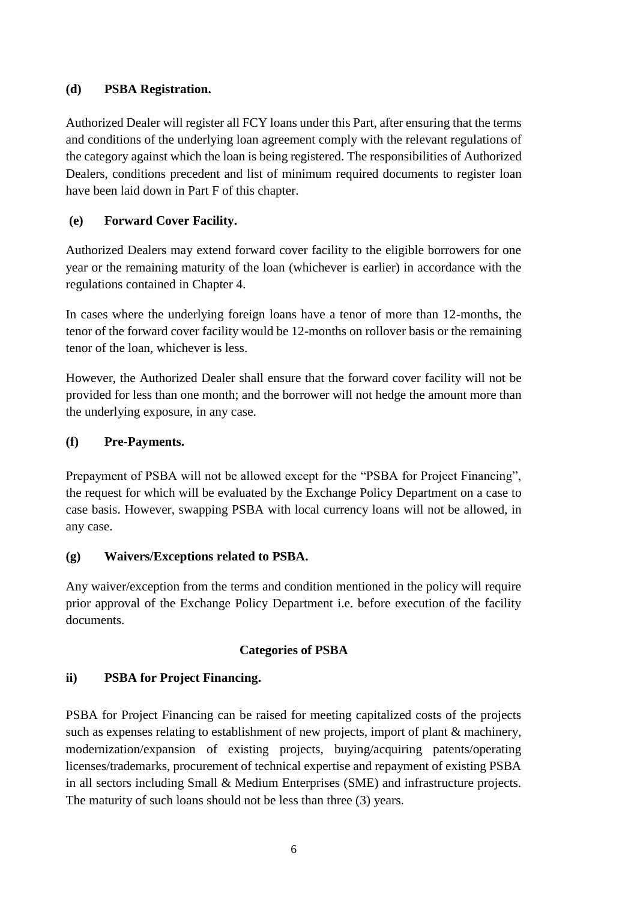## **(d) PSBA Registration.**

Authorized Dealer will register all FCY loans under this Part, after ensuring that the terms and conditions of the underlying loan agreement comply with the relevant regulations of the category against which the loan is being registered. The responsibilities of Authorized Dealers, conditions precedent and list of minimum required documents to register loan have been laid down in Part F of this chapter.

# **(e) Forward Cover Facility.**

Authorized Dealers may extend forward cover facility to the eligible borrowers for one year or the remaining maturity of the loan (whichever is earlier) in accordance with the regulations contained in Chapter 4.

In cases where the underlying foreign loans have a tenor of more than 12-months, the tenor of the forward cover facility would be 12-months on rollover basis or the remaining tenor of the loan, whichever is less.

However, the Authorized Dealer shall ensure that the forward cover facility will not be provided for less than one month; and the borrower will not hedge the amount more than the underlying exposure, in any case.

# **(f) Pre-Payments.**

Prepayment of PSBA will not be allowed except for the "PSBA for Project Financing", the request for which will be evaluated by the Exchange Policy Department on a case to case basis. However, swapping PSBA with local currency loans will not be allowed, in any case.

# **(g) Waivers/Exceptions related to PSBA.**

Any waiver/exception from the terms and condition mentioned in the policy will require prior approval of the Exchange Policy Department i.e. before execution of the facility documents.

# **Categories of PSBA**

# **ii) PSBA for Project Financing.**

PSBA for Project Financing can be raised for meeting capitalized costs of the projects such as expenses relating to establishment of new projects, import of plant & machinery, modernization/expansion of existing projects, buying/acquiring patents/operating licenses/trademarks, procurement of technical expertise and repayment of existing PSBA in all sectors including Small & Medium Enterprises (SME) and infrastructure projects. The maturity of such loans should not be less than three (3) years.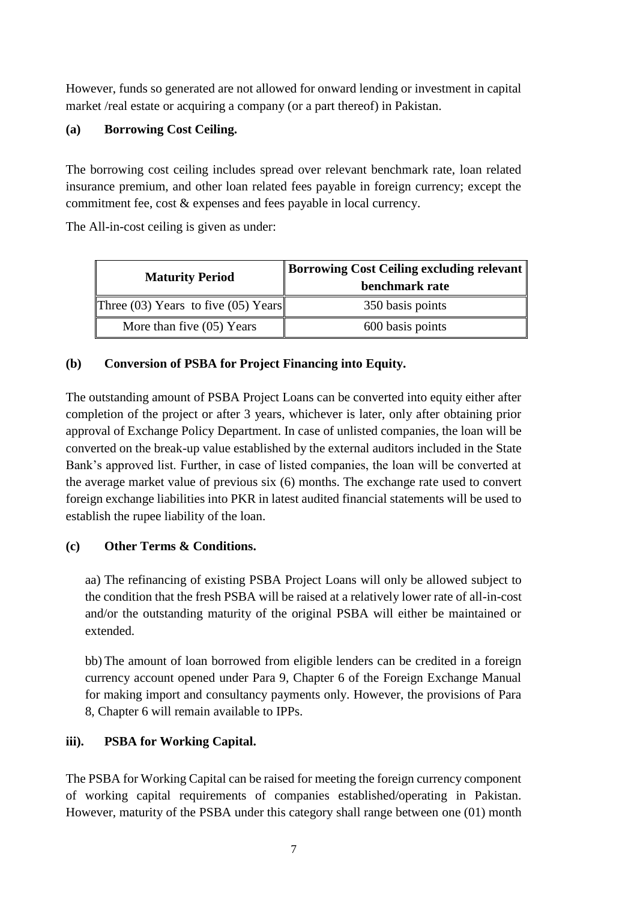However, funds so generated are not allowed for onward lending or investment in capital market /real estate or acquiring a company (or a part thereof) in Pakistan.

# **(a) Borrowing Cost Ceiling.**

The borrowing cost ceiling includes spread over relevant benchmark rate, loan related insurance premium, and other loan related fees payable in foreign currency; except the commitment fee, cost & expenses and fees payable in local currency.

The All-in-cost ceiling is given as under:

| <b>Maturity Period</b>                  | Borrowing Cost Ceiling excluding relevant   <br>benchmark rate |
|-----------------------------------------|----------------------------------------------------------------|
| Three $(03)$ Years to five $(05)$ Years | 350 basis points                                               |
| More than five $(05)$ Years             | 600 basis points                                               |

# **(b) Conversion of PSBA for Project Financing into Equity.**

The outstanding amount of PSBA Project Loans can be converted into equity either after completion of the project or after 3 years, whichever is later, only after obtaining prior approval of Exchange Policy Department. In case of unlisted companies, the loan will be converted on the break-up value established by the external auditors included in the State Bank's approved list. Further, in case of listed companies, the loan will be converted at the average market value of previous six (6) months. The exchange rate used to convert foreign exchange liabilities into PKR in latest audited financial statements will be used to establish the rupee liability of the loan.

# **(c) Other Terms & Conditions.**

aa) The refinancing of existing PSBA Project Loans will only be allowed subject to the condition that the fresh PSBA will be raised at a relatively lower rate of all-in-cost and/or the outstanding maturity of the original PSBA will either be maintained or extended.

bb) The amount of loan borrowed from eligible lenders can be credited in a foreign currency account opened under Para 9, Chapter 6 of the Foreign Exchange Manual for making import and consultancy payments only. However, the provisions of Para 8, Chapter 6 will remain available to IPPs.

# **iii). PSBA for Working Capital.**

The PSBA for Working Capital can be raised for meeting the foreign currency component of working capital requirements of companies established/operating in Pakistan. However, maturity of the PSBA under this category shall range between one (01) month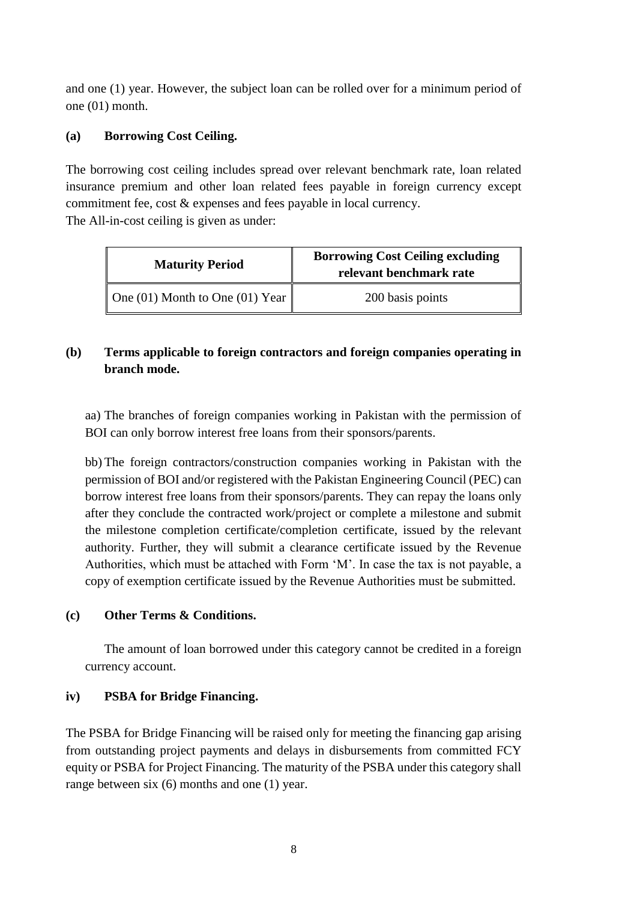and one (1) year. However, the subject loan can be rolled over for a minimum period of one (01) month.

## **(a) Borrowing Cost Ceiling.**

The borrowing cost ceiling includes spread over relevant benchmark rate, loan related insurance premium and other loan related fees payable in foreign currency except commitment fee, cost & expenses and fees payable in local currency. The All-in-cost ceiling is given as under:

| <b>Maturity Period</b>                      | <b>Borrowing Cost Ceiling excluding</b><br>relevant benchmark rate |
|---------------------------------------------|--------------------------------------------------------------------|
| One (01) Month to One (01) Year $\parallel$ | 200 basis points                                                   |

# **(b) Terms applicable to foreign contractors and foreign companies operating in branch mode.**

aa) The branches of foreign companies working in Pakistan with the permission of BOI can only borrow interest free loans from their sponsors/parents.

bb) The foreign contractors/construction companies working in Pakistan with the permission of BOI and/or registered with the Pakistan Engineering Council (PEC) can borrow interest free loans from their sponsors/parents. They can repay the loans only after they conclude the contracted work/project or complete a milestone and submit the milestone completion certificate/completion certificate, issued by the relevant authority. Further, they will submit a clearance certificate issued by the Revenue Authorities, which must be attached with Form 'M'. In case the tax is not payable, a copy of exemption certificate issued by the Revenue Authorities must be submitted.

## **(c) Other Terms & Conditions.**

The amount of loan borrowed under this category cannot be credited in a foreign currency account.

# **iv) PSBA for Bridge Financing.**

The PSBA for Bridge Financing will be raised only for meeting the financing gap arising from outstanding project payments and delays in disbursements from committed FCY equity or PSBA for Project Financing. The maturity of the PSBA under this category shall range between six (6) months and one (1) year.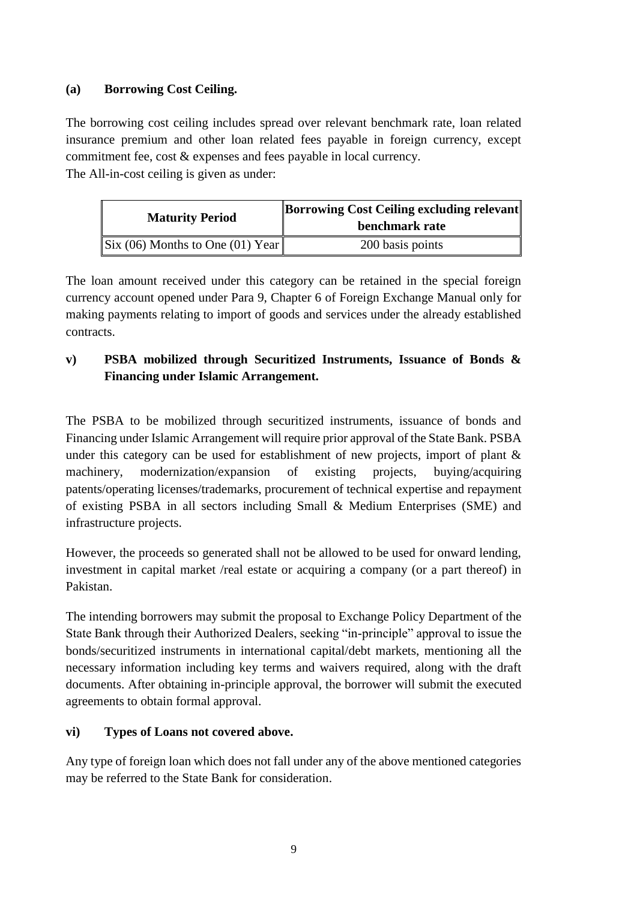## **(a) Borrowing Cost Ceiling.**

The borrowing cost ceiling includes spread over relevant benchmark rate, loan related insurance premium and other loan related fees payable in foreign currency, except commitment fee, cost & expenses and fees payable in local currency. The All-in-cost ceiling is given as under:

| <b>Maturity Period</b>                              | Borrowing Cost Ceiling excluding relevant<br>benchmark rate |
|-----------------------------------------------------|-------------------------------------------------------------|
| $\left\  \right\ $ Six (06) Months to One (01) Year | 200 basis points                                            |

The loan amount received under this category can be retained in the special foreign currency account opened under Para 9, Chapter 6 of Foreign Exchange Manual only for making payments relating to import of goods and services under the already established contracts.

# **v) PSBA mobilized through Securitized Instruments, Issuance of Bonds & Financing under Islamic Arrangement.**

The PSBA to be mobilized through securitized instruments, issuance of bonds and Financing under Islamic Arrangement will require prior approval of the State Bank. PSBA under this category can be used for establishment of new projects, import of plant  $\&$ machinery, modernization/expansion of existing projects, buying/acquiring patents/operating licenses/trademarks, procurement of technical expertise and repayment of existing PSBA in all sectors including Small & Medium Enterprises (SME) and infrastructure projects.

However, the proceeds so generated shall not be allowed to be used for onward lending, investment in capital market /real estate or acquiring a company (or a part thereof) in Pakistan.

The intending borrowers may submit the proposal to Exchange Policy Department of the State Bank through their Authorized Dealers, seeking "in-principle" approval to issue the bonds/securitized instruments in international capital/debt markets, mentioning all the necessary information including key terms and waivers required, along with the draft documents. After obtaining in-principle approval, the borrower will submit the executed agreements to obtain formal approval.

## **vi) Types of Loans not covered above.**

Any type of foreign loan which does not fall under any of the above mentioned categories may be referred to the State Bank for consideration.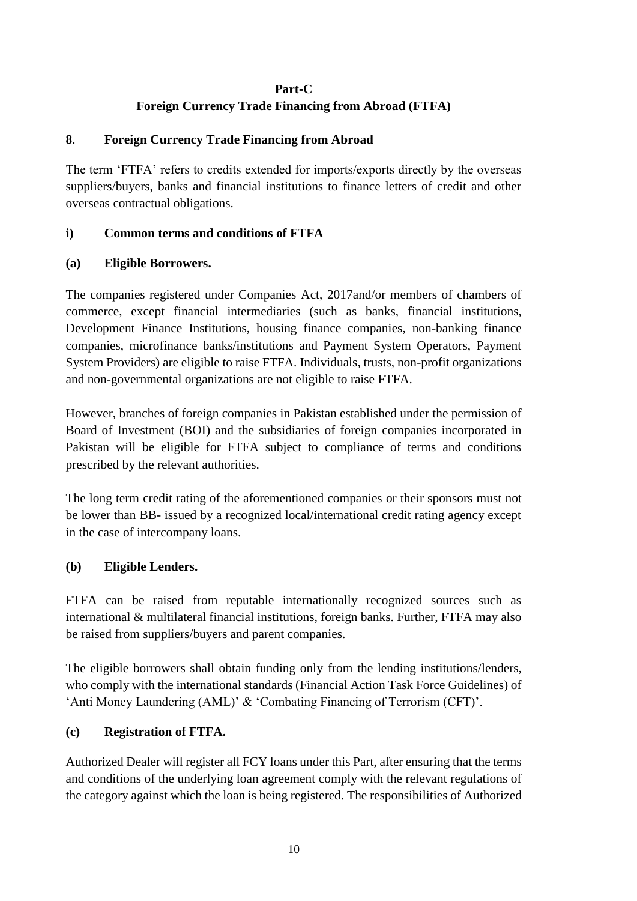## **Part-C**

## **Foreign Currency Trade Financing from Abroad (FTFA)**

## **8**. **Foreign Currency Trade Financing from Abroad**

The term 'FTFA' refers to credits extended for imports/exports directly by the overseas suppliers/buyers, banks and financial institutions to finance letters of credit and other overseas contractual obligations.

## **i) Common terms and conditions of FTFA**

### **(a) Eligible Borrowers.**

The companies registered under Companies Act, 2017and/or members of chambers of commerce, except financial intermediaries (such as banks, financial institutions, Development Finance Institutions, housing finance companies, non-banking finance companies, microfinance banks/institutions and Payment System Operators, Payment System Providers) are eligible to raise FTFA. Individuals, trusts, non-profit organizations and non-governmental organizations are not eligible to raise FTFA.

However, branches of foreign companies in Pakistan established under the permission of Board of Investment (BOI) and the subsidiaries of foreign companies incorporated in Pakistan will be eligible for FTFA subject to compliance of terms and conditions prescribed by the relevant authorities.

The long term credit rating of the aforementioned companies or their sponsors must not be lower than BB- issued by a recognized local/international credit rating agency except in the case of intercompany loans.

## **(b) Eligible Lenders.**

FTFA can be raised from reputable internationally recognized sources such as international & multilateral financial institutions, foreign banks. Further, FTFA may also be raised from suppliers/buyers and parent companies.

The eligible borrowers shall obtain funding only from the lending institutions/lenders, who comply with the international standards (Financial Action Task Force Guidelines) of 'Anti Money Laundering (AML)' & 'Combating Financing of Terrorism (CFT)'.

## **(c) Registration of FTFA.**

Authorized Dealer will register all FCY loans under this Part, after ensuring that the terms and conditions of the underlying loan agreement comply with the relevant regulations of the category against which the loan is being registered. The responsibilities of Authorized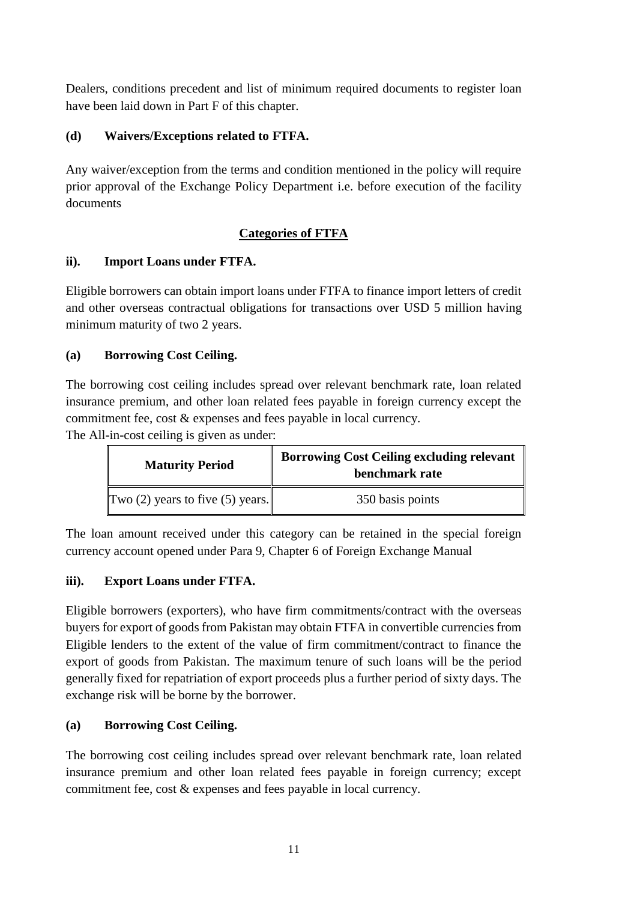Dealers, conditions precedent and list of minimum required documents to register loan have been laid down in Part F of this chapter.

# **(d) Waivers/Exceptions related to FTFA.**

Any waiver/exception from the terms and condition mentioned in the policy will require prior approval of the Exchange Policy Department i.e. before execution of the facility documents

# **Categories of FTFA**

# **ii). Import Loans under FTFA.**

Eligible borrowers can obtain import loans under FTFA to finance import letters of credit and other overseas contractual obligations for transactions over USD 5 million having minimum maturity of two 2 years.

# **(a) Borrowing Cost Ceiling.**

The borrowing cost ceiling includes spread over relevant benchmark rate, loan related insurance premium, and other loan related fees payable in foreign currency except the commitment fee, cost & expenses and fees payable in local currency.

The All-in-cost ceiling is given as under:

| <b>Maturity Period</b>               | <b>Borrowing Cost Ceiling excluding relevant</b><br>benchmark rate |
|--------------------------------------|--------------------------------------------------------------------|
| Two $(2)$ years to five $(5)$ years. | 350 basis points                                                   |

The loan amount received under this category can be retained in the special foreign currency account opened under Para 9, Chapter 6 of Foreign Exchange Manual

# **iii). Export Loans under FTFA.**

Eligible borrowers (exporters), who have firm commitments/contract with the overseas buyers for export of goods from Pakistan may obtain FTFA in convertible currencies from Eligible lenders to the extent of the value of firm commitment/contract to finance the export of goods from Pakistan. The maximum tenure of such loans will be the period generally fixed for repatriation of export proceeds plus a further period of sixty days. The exchange risk will be borne by the borrower.

# **(a) Borrowing Cost Ceiling.**

The borrowing cost ceiling includes spread over relevant benchmark rate, loan related insurance premium and other loan related fees payable in foreign currency; except commitment fee, cost & expenses and fees payable in local currency.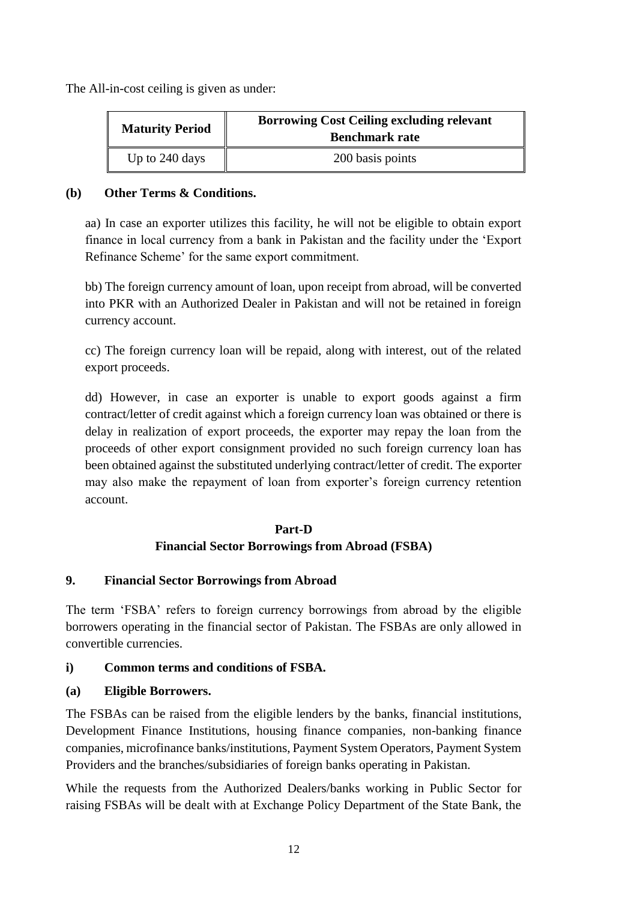The All-in-cost ceiling is given as under:

| <b>Maturity Period</b> | <b>Borrowing Cost Ceiling excluding relevant</b><br><b>Benchmark rate</b> |
|------------------------|---------------------------------------------------------------------------|
| Up to 240 days         | 200 basis points                                                          |

### **(b) Other Terms & Conditions.**

aa) In case an exporter utilizes this facility, he will not be eligible to obtain export finance in local currency from a bank in Pakistan and the facility under the 'Export Refinance Scheme' for the same export commitment.

bb) The foreign currency amount of loan, upon receipt from abroad, will be converted into PKR with an Authorized Dealer in Pakistan and will not be retained in foreign currency account.

cc) The foreign currency loan will be repaid, along with interest, out of the related export proceeds.

dd) However, in case an exporter is unable to export goods against a firm contract/letter of credit against which a foreign currency loan was obtained or there is delay in realization of export proceeds, the exporter may repay the loan from the proceeds of other export consignment provided no such foreign currency loan has been obtained against the substituted underlying contract/letter of credit. The exporter may also make the repayment of loan from exporter's foreign currency retention account.

# **Part-D Financial Sector Borrowings from Abroad (FSBA)**

## **9. Financial Sector Borrowings from Abroad**

The term 'FSBA' refers to foreign currency borrowings from abroad by the eligible borrowers operating in the financial sector of Pakistan. The FSBAs are only allowed in convertible currencies.

## **i) Common terms and conditions of FSBA.**

## **(a) Eligible Borrowers.**

The FSBAs can be raised from the eligible lenders by the banks, financial institutions, Development Finance Institutions, housing finance companies, non-banking finance companies, microfinance banks/institutions, Payment System Operators, Payment System Providers and the branches/subsidiaries of foreign banks operating in Pakistan.

While the requests from the Authorized Dealers/banks working in Public Sector for raising FSBAs will be dealt with at Exchange Policy Department of the State Bank, the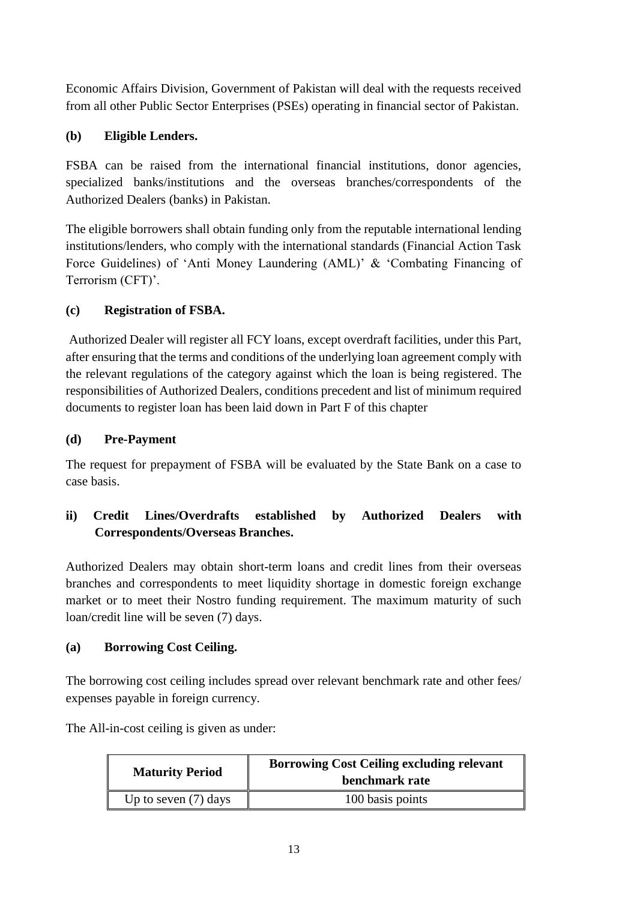Economic Affairs Division, Government of Pakistan will deal with the requests received from all other Public Sector Enterprises (PSEs) operating in financial sector of Pakistan.

# **(b) Eligible Lenders.**

FSBA can be raised from the international financial institutions, donor agencies, specialized banks/institutions and the overseas branches/correspondents of the Authorized Dealers (banks) in Pakistan.

The eligible borrowers shall obtain funding only from the reputable international lending institutions/lenders, who comply with the international standards (Financial Action Task Force Guidelines) of 'Anti Money Laundering (AML)' & 'Combating Financing of Terrorism (CFT)'.

# **(c) Registration of FSBA.**

Authorized Dealer will register all FCY loans, except overdraft facilities, under this Part, after ensuring that the terms and conditions of the underlying loan agreement comply with the relevant regulations of the category against which the loan is being registered. The responsibilities of Authorized Dealers, conditions precedent and list of minimum required documents to register loan has been laid down in Part F of this chapter

# **(d) Pre-Payment**

The request for prepayment of FSBA will be evaluated by the State Bank on a case to case basis.

# **ii) Credit Lines/Overdrafts established by Authorized Dealers with Correspondents/Overseas Branches.**

Authorized Dealers may obtain short-term loans and credit lines from their overseas branches and correspondents to meet liquidity shortage in domestic foreign exchange market or to meet their Nostro funding requirement. The maximum maturity of such loan/credit line will be seven (7) days.

# **(a) Borrowing Cost Ceiling.**

The borrowing cost ceiling includes spread over relevant benchmark rate and other fees/ expenses payable in foreign currency.

The All-in-cost ceiling is given as under:

| <b>Maturity Period</b> | <b>Borrowing Cost Ceiling excluding relevant</b><br>benchmark rate |
|------------------------|--------------------------------------------------------------------|
| Up to seven $(7)$ days | 100 basis points                                                   |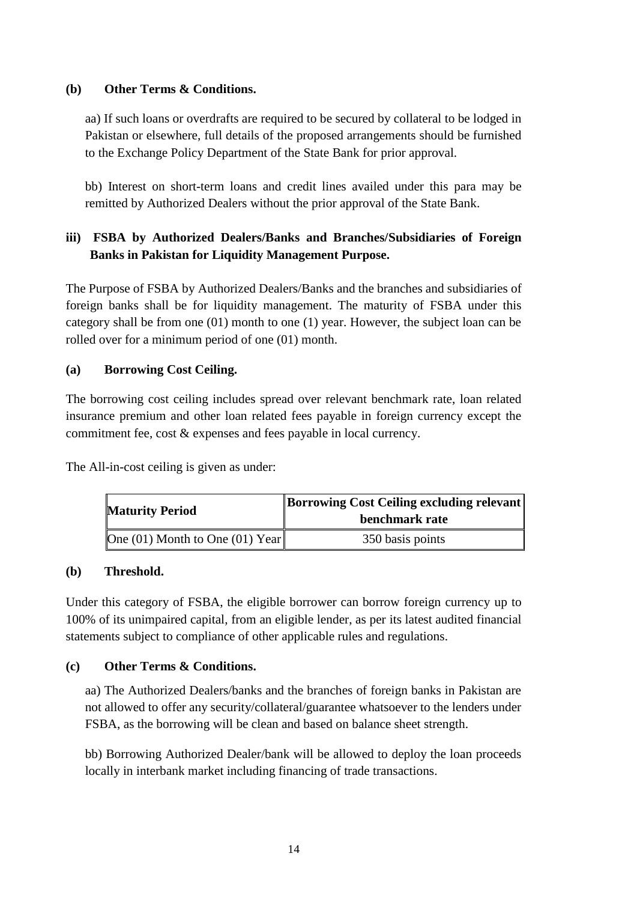### **(b) Other Terms & Conditions.**

aa) If such loans or overdrafts are required to be secured by collateral to be lodged in Pakistan or elsewhere, full details of the proposed arrangements should be furnished to the Exchange Policy Department of the State Bank for prior approval.

bb) Interest on short-term loans and credit lines availed under this para may be remitted by Authorized Dealers without the prior approval of the State Bank.

# **iii) FSBA by Authorized Dealers/Banks and Branches/Subsidiaries of Foreign Banks in Pakistan for Liquidity Management Purpose.**

The Purpose of FSBA by Authorized Dealers/Banks and the branches and subsidiaries of foreign banks shall be for liquidity management. The maturity of FSBA under this category shall be from one (01) month to one (1) year. However, the subject loan can be rolled over for a minimum period of one (01) month.

## **(a) Borrowing Cost Ceiling.**

The borrowing cost ceiling includes spread over relevant benchmark rate, loan related insurance premium and other loan related fees payable in foreign currency except the commitment fee, cost & expenses and fees payable in local currency.

The All-in-cost ceiling is given as under:

| <b>Maturity Period</b>          | <b>Borrowing Cost Ceiling excluding relevant</b><br>benchmark rate |
|---------------------------------|--------------------------------------------------------------------|
| One (01) Month to One (01) Year | 350 basis points                                                   |

## **(b) Threshold.**

Under this category of FSBA, the eligible borrower can borrow foreign currency up to 100% of its unimpaired capital, from an eligible lender, as per its latest audited financial statements subject to compliance of other applicable rules and regulations.

# **(c) Other Terms & Conditions.**

aa) The Authorized Dealers/banks and the branches of foreign banks in Pakistan are not allowed to offer any security/collateral/guarantee whatsoever to the lenders under FSBA, as the borrowing will be clean and based on balance sheet strength.

bb) Borrowing Authorized Dealer/bank will be allowed to deploy the loan proceeds locally in interbank market including financing of trade transactions.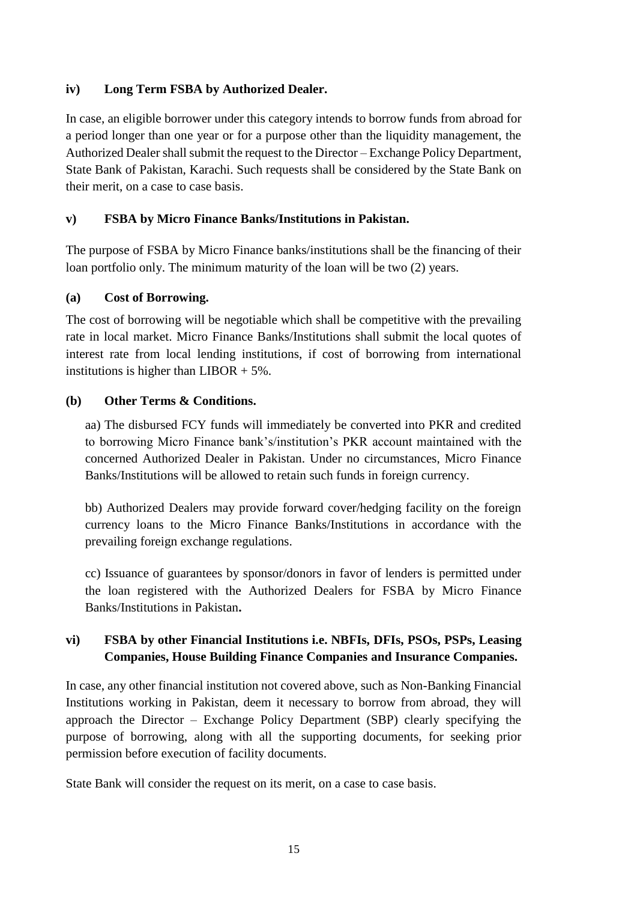## **iv) Long Term FSBA by Authorized Dealer.**

In case, an eligible borrower under this category intends to borrow funds from abroad for a period longer than one year or for a purpose other than the liquidity management, the Authorized Dealer shall submit the request to the Director – Exchange Policy Department, State Bank of Pakistan, Karachi. Such requests shall be considered by the State Bank on their merit, on a case to case basis.

## **v) FSBA by Micro Finance Banks/Institutions in Pakistan.**

The purpose of FSBA by Micro Finance banks/institutions shall be the financing of their loan portfolio only. The minimum maturity of the loan will be two (2) years.

### **(a) Cost of Borrowing.**

The cost of borrowing will be negotiable which shall be competitive with the prevailing rate in local market. Micro Finance Banks/Institutions shall submit the local quotes of interest rate from local lending institutions, if cost of borrowing from international institutions is higher than  $LIBOR + 5\%$ .

### **(b) Other Terms & Conditions.**

aa) The disbursed FCY funds will immediately be converted into PKR and credited to borrowing Micro Finance bank's/institution's PKR account maintained with the concerned Authorized Dealer in Pakistan. Under no circumstances, Micro Finance Banks/Institutions will be allowed to retain such funds in foreign currency.

bb) Authorized Dealers may provide forward cover/hedging facility on the foreign currency loans to the Micro Finance Banks/Institutions in accordance with the prevailing foreign exchange regulations.

cc) Issuance of guarantees by sponsor/donors in favor of lenders is permitted under the loan registered with the Authorized Dealers for FSBA by Micro Finance Banks/Institutions in Pakistan**.** 

# **vi) FSBA by other Financial Institutions i.e. NBFIs, DFIs, PSOs, PSPs, Leasing Companies, House Building Finance Companies and Insurance Companies.**

In case, any other financial institution not covered above, such as Non-Banking Financial Institutions working in Pakistan, deem it necessary to borrow from abroad, they will approach the Director – Exchange Policy Department (SBP) clearly specifying the purpose of borrowing, along with all the supporting documents, for seeking prior permission before execution of facility documents.

State Bank will consider the request on its merit, on a case to case basis.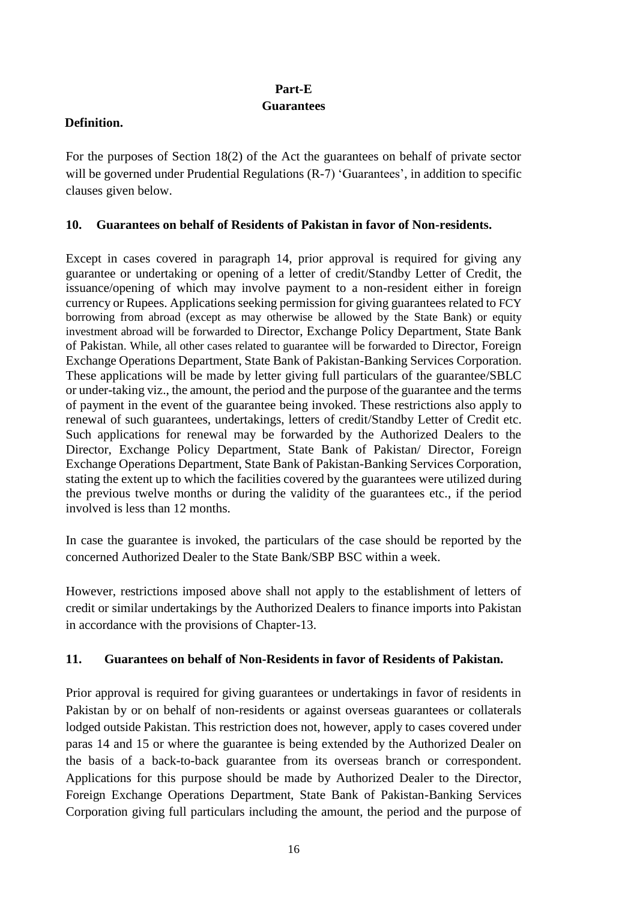## **Part-E**

### **Guarantees**

## **Definition.**

For the purposes of Section 18(2) of the Act the guarantees on behalf of private sector will be governed under Prudential Regulations (R-7) 'Guarantees', in addition to specific clauses given below.

## **10. Guarantees on behalf of Residents of Pakistan in favor of Non-residents.**

Except in cases covered in paragraph 14, prior approval is required for giving any guarantee or undertaking or opening of a letter of credit/Standby Letter of Credit, the issuance/opening of which may involve payment to a non-resident either in foreign currency or Rupees. Applications seeking permission for giving guarantees related to FCY borrowing from abroad (except as may otherwise be allowed by the State Bank) or equity investment abroad will be forwarded to Director, Exchange Policy Department, State Bank of Pakistan. While, all other cases related to guarantee will be forwarded to Director, Foreign Exchange Operations Department, State Bank of Pakistan-Banking Services Corporation. These applications will be made by letter giving full particulars of the guarantee/SBLC or under-taking viz., the amount, the period and the purpose of the guarantee and the terms of payment in the event of the guarantee being invoked. These restrictions also apply to renewal of such guarantees, undertakings, letters of credit/Standby Letter of Credit etc. Such applications for renewal may be forwarded by the Authorized Dealers to the Director, Exchange Policy Department, State Bank of Pakistan/ Director, Foreign Exchange Operations Department, State Bank of Pakistan-Banking Services Corporation, stating the extent up to which the facilities covered by the guarantees were utilized during the previous twelve months or during the validity of the guarantees etc., if the period involved is less than 12 months.

In case the guarantee is invoked, the particulars of the case should be reported by the concerned Authorized Dealer to the State Bank/SBP BSC within a week.

However, restrictions imposed above shall not apply to the establishment of letters of credit or similar undertakings by the Authorized Dealers to finance imports into Pakistan in accordance with the provisions of Chapter-13.

# **11. Guarantees on behalf of Non-Residents in favor of Residents of Pakistan.**

Prior approval is required for giving guarantees or undertakings in favor of residents in Pakistan by or on behalf of non-residents or against overseas guarantees or collaterals lodged outside Pakistan. This restriction does not, however, apply to cases covered under paras 14 and 15 or where the guarantee is being extended by the Authorized Dealer on the basis of a back-to-back guarantee from its overseas branch or correspondent. Applications for this purpose should be made by Authorized Dealer to the Director, Foreign Exchange Operations Department, State Bank of Pakistan-Banking Services Corporation giving full particulars including the amount, the period and the purpose of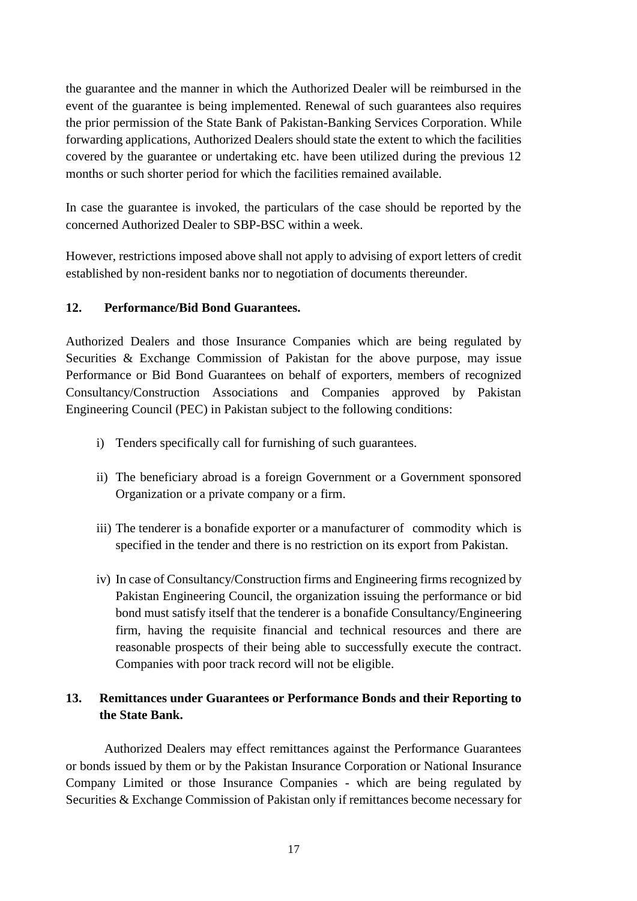the guarantee and the manner in which the Authorized Dealer will be reimbursed in the event of the guarantee is being implemented. Renewal of such guarantees also requires the prior permission of the State Bank of Pakistan-Banking Services Corporation. While forwarding applications, Authorized Dealers should state the extent to which the facilities covered by the guarantee or undertaking etc. have been utilized during the previous 12 months or such shorter period for which the facilities remained available.

In case the guarantee is invoked, the particulars of the case should be reported by the concerned Authorized Dealer to SBP-BSC within a week.

However, restrictions imposed above shall not apply to advising of export letters of credit established by non-resident banks nor to negotiation of documents thereunder.

## **12. Performance/Bid Bond Guarantees.**

Authorized Dealers and those Insurance Companies which are being regulated by Securities & Exchange Commission of Pakistan for the above purpose, may issue Performance or Bid Bond Guarantees on behalf of exporters, members of recognized Consultancy/Construction Associations and Companies approved by Pakistan Engineering Council (PEC) in Pakistan subject to the following conditions:

- i) Tenders specifically call for furnishing of such guarantees.
- ii) The beneficiary abroad is a foreign Government or a Government sponsored Organization or a private company or a firm.
- iii) The tenderer is a bonafide exporter or a manufacturer of commodity which is specified in the tender and there is no restriction on its export from Pakistan.
- iv) In case of Consultancy/Construction firms and Engineering firms recognized by Pakistan Engineering Council, the organization issuing the performance or bid bond must satisfy itself that the tenderer is a bonafide Consultancy/Engineering firm, having the requisite financial and technical resources and there are reasonable prospects of their being able to successfully execute the contract. Companies with poor track record will not be eligible.

# **13. Remittances under Guarantees or Performance Bonds and their Reporting to the State Bank.**

Authorized Dealers may effect remittances against the Performance Guarantees or bonds issued by them or by the Pakistan Insurance Corporation or National Insurance Company Limited or those Insurance Companies - which are being regulated by Securities & Exchange Commission of Pakistan only if remittances become necessary for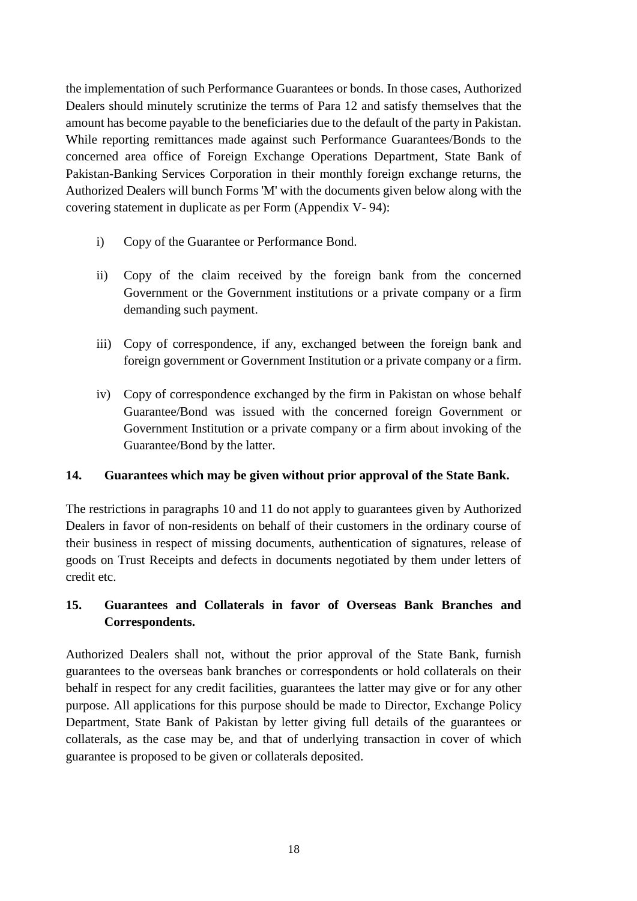the implementation of such Performance Guarantees or bonds. In those cases, Authorized Dealers should minutely scrutinize the terms of Para 12 and satisfy themselves that the amount has become payable to the beneficiaries due to the default of the party in Pakistan. While reporting remittances made against such Performance Guarantees/Bonds to the concerned area office of Foreign Exchange Operations Department, State Bank of Pakistan-Banking Services Corporation in their monthly foreign exchange returns, the Authorized Dealers will bunch Forms 'M' with the documents given below along with the covering statement in duplicate as per Form (Appendix V- 94):

- i) Copy of the Guarantee or Performance Bond.
- ii) Copy of the claim received by the foreign bank from the concerned Government or the Government institutions or a private company or a firm demanding such payment.
- iii) Copy of correspondence, if any, exchanged between the foreign bank and foreign government or Government Institution or a private company or a firm.
- iv) Copy of correspondence exchanged by the firm in Pakistan on whose behalf Guarantee/Bond was issued with the concerned foreign Government or Government Institution or a private company or a firm about invoking of the Guarantee/Bond by the latter.

## **14. Guarantees which may be given without prior approval of the State Bank.**

The restrictions in paragraphs 10 and 11 do not apply to guarantees given by Authorized Dealers in favor of non-residents on behalf of their customers in the ordinary course of their business in respect of missing documents, authentication of signatures, release of goods on Trust Receipts and defects in documents negotiated by them under letters of credit etc.

# **15. Guarantees and Collaterals in favor of Overseas Bank Branches and Correspondents.**

Authorized Dealers shall not, without the prior approval of the State Bank, furnish guarantees to the overseas bank branches or correspondents or hold collaterals on their behalf in respect for any credit facilities, guarantees the latter may give or for any other purpose. All applications for this purpose should be made to Director, Exchange Policy Department, State Bank of Pakistan by letter giving full details of the guarantees or collaterals, as the case may be, and that of underlying transaction in cover of which guarantee is proposed to be given or collaterals deposited.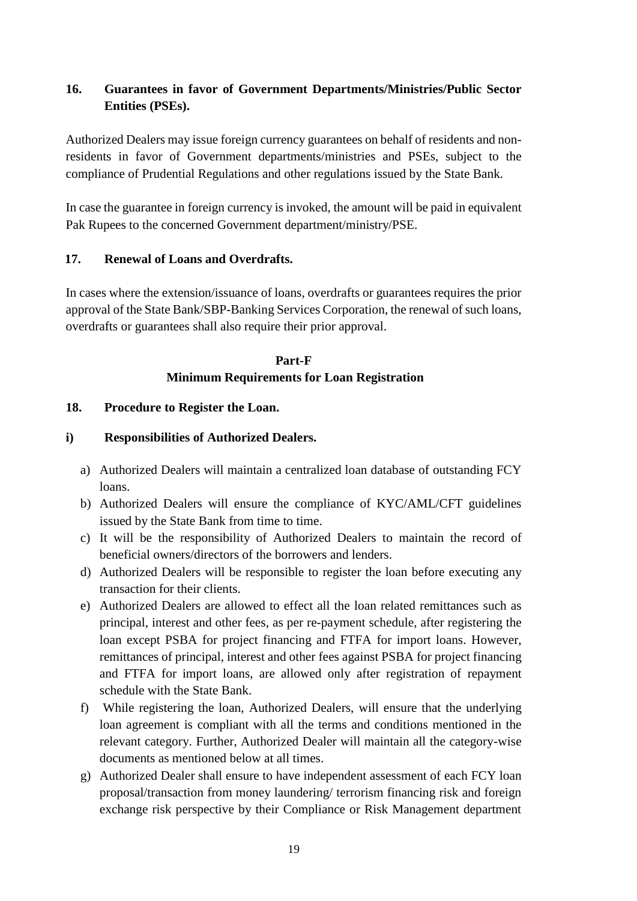# **16. Guarantees in favor of Government Departments/Ministries/Public Sector Entities (PSEs).**

Authorized Dealers may issue foreign currency guarantees on behalf of residents and nonresidents in favor of Government departments/ministries and PSEs, subject to the compliance of Prudential Regulations and other regulations issued by the State Bank.

In case the guarantee in foreign currency is invoked, the amount will be paid in equivalent Pak Rupees to the concerned Government department/ministry/PSE.

# **17. Renewal of Loans and Overdrafts.**

In cases where the extension/issuance of loans, overdrafts or guarantees requires the prior approval of the State Bank/SBP-Banking Services Corporation, the renewal of such loans, overdrafts or guarantees shall also require their prior approval.

# **Part-F Minimum Requirements for Loan Registration**

# **18. Procedure to Register the Loan.**

# **i) Responsibilities of Authorized Dealers.**

- a) Authorized Dealers will maintain a centralized loan database of outstanding FCY loans.
- b) Authorized Dealers will ensure the compliance of KYC/AML/CFT guidelines issued by the State Bank from time to time.
- c) It will be the responsibility of Authorized Dealers to maintain the record of beneficial owners/directors of the borrowers and lenders.
- d) Authorized Dealers will be responsible to register the loan before executing any transaction for their clients.
- e) Authorized Dealers are allowed to effect all the loan related remittances such as principal, interest and other fees, as per re-payment schedule, after registering the loan except PSBA for project financing and FTFA for import loans. However, remittances of principal, interest and other fees against PSBA for project financing and FTFA for import loans, are allowed only after registration of repayment schedule with the State Bank.
- f) While registering the loan, Authorized Dealers, will ensure that the underlying loan agreement is compliant with all the terms and conditions mentioned in the relevant category. Further, Authorized Dealer will maintain all the category-wise documents as mentioned below at all times.
- g) Authorized Dealer shall ensure to have independent assessment of each FCY loan proposal/transaction from money laundering/ terrorism financing risk and foreign exchange risk perspective by their Compliance or Risk Management department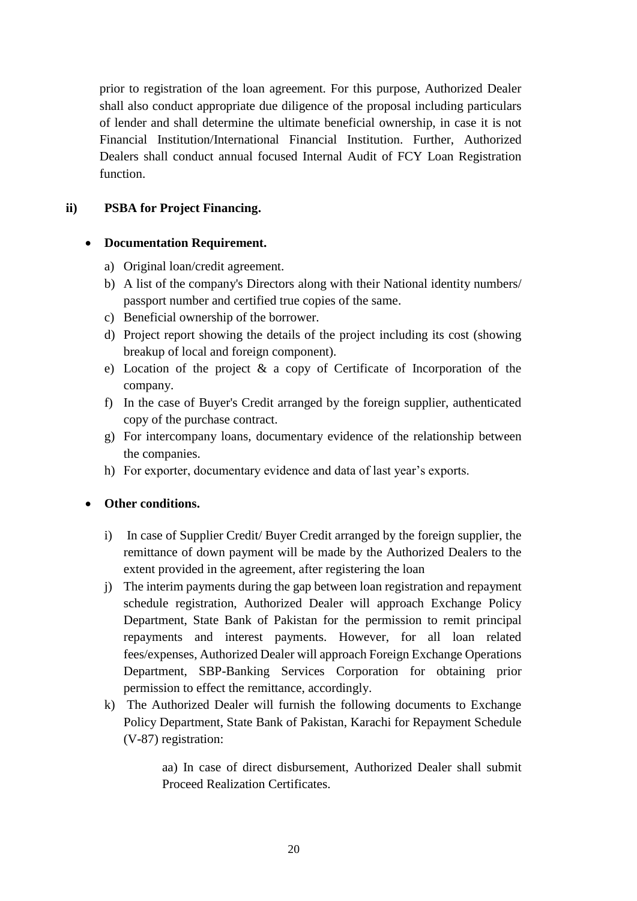prior to registration of the loan agreement. For this purpose, Authorized Dealer shall also conduct appropriate due diligence of the proposal including particulars of lender and shall determine the ultimate beneficial ownership, in case it is not Financial Institution/International Financial Institution. Further, Authorized Dealers shall conduct annual focused Internal Audit of FCY Loan Registration function.

# **ii) PSBA for Project Financing.**

## **Documentation Requirement.**

- a) Original loan/credit agreement.
- b) A list of the company's Directors along with their National identity numbers/ passport number and certified true copies of the same.
- c) Beneficial ownership of the borrower.
- d) Project report showing the details of the project including its cost (showing breakup of local and foreign component).
- e) Location of the project & a copy of Certificate of Incorporation of the company.
- f) In the case of Buyer's Credit arranged by the foreign supplier, authenticated copy of the purchase contract.
- g) For intercompany loans, documentary evidence of the relationship between the companies.
- h) For exporter, documentary evidence and data of last year's exports.

## **Other conditions.**

- i) In case of Supplier Credit/ Buyer Credit arranged by the foreign supplier, the remittance of down payment will be made by the Authorized Dealers to the extent provided in the agreement, after registering the loan
- j) The interim payments during the gap between loan registration and repayment schedule registration, Authorized Dealer will approach Exchange Policy Department, State Bank of Pakistan for the permission to remit principal repayments and interest payments. However, for all loan related fees/expenses, Authorized Dealer will approach Foreign Exchange Operations Department, SBP-Banking Services Corporation for obtaining prior permission to effect the remittance, accordingly.
- k) The Authorized Dealer will furnish the following documents to Exchange Policy Department, State Bank of Pakistan, Karachi for Repayment Schedule (V-87) registration:

aa) In case of direct disbursement, Authorized Dealer shall submit Proceed Realization Certificates.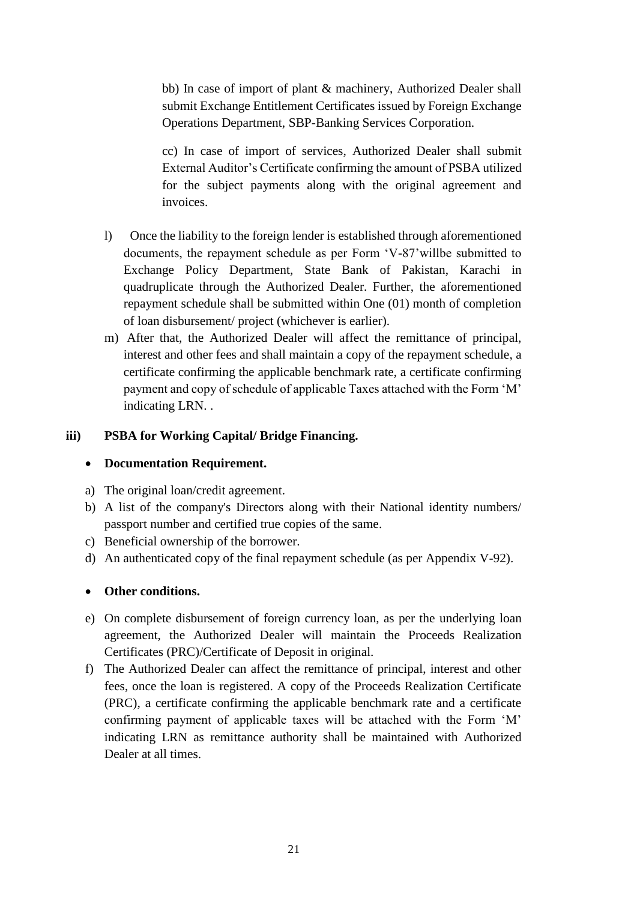bb) In case of import of plant & machinery, Authorized Dealer shall submit Exchange Entitlement Certificates issued by Foreign Exchange Operations Department, SBP-Banking Services Corporation.

cc) In case of import of services, Authorized Dealer shall submit External Auditor's Certificate confirming the amount of PSBA utilized for the subject payments along with the original agreement and invoices.

- l) Once the liability to the foreign lender is established through aforementioned documents, the repayment schedule as per Form 'V-87'willbe submitted to Exchange Policy Department, State Bank of Pakistan, Karachi in quadruplicate through the Authorized Dealer. Further, the aforementioned repayment schedule shall be submitted within One (01) month of completion of loan disbursement/ project (whichever is earlier).
- m) After that, the Authorized Dealer will affect the remittance of principal, interest and other fees and shall maintain a copy of the repayment schedule, a certificate confirming the applicable benchmark rate, a certificate confirming payment and copy of schedule of applicable Taxes attached with the Form 'M' indicating LRN. .

## **iii) PSBA for Working Capital/ Bridge Financing.**

## **Documentation Requirement.**

- a) The original loan/credit agreement.
- b) A list of the company's Directors along with their National identity numbers/ passport number and certified true copies of the same.
- c) Beneficial ownership of the borrower.
- d) An authenticated copy of the final repayment schedule (as per Appendix V-92).

## **Other conditions.**

- e) On complete disbursement of foreign currency loan, as per the underlying loan agreement, the Authorized Dealer will maintain the Proceeds Realization Certificates (PRC)/Certificate of Deposit in original.
- f) The Authorized Dealer can affect the remittance of principal, interest and other fees, once the loan is registered. A copy of the Proceeds Realization Certificate (PRC), a certificate confirming the applicable benchmark rate and a certificate confirming payment of applicable taxes will be attached with the Form 'M' indicating LRN as remittance authority shall be maintained with Authorized Dealer at all times.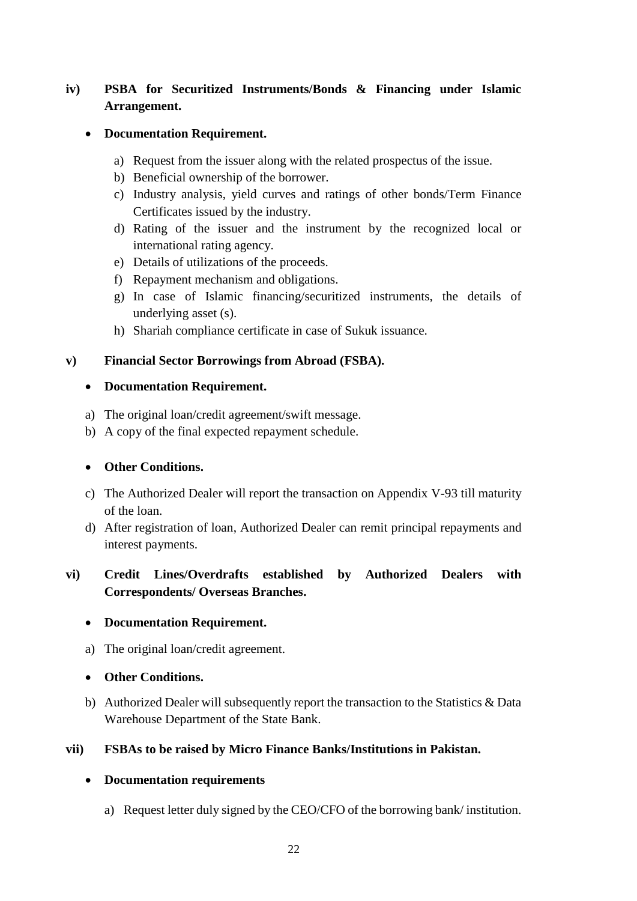# **iv) PSBA for Securitized Instruments/Bonds & Financing under Islamic Arrangement.**

## **Documentation Requirement.**

- a) Request from the issuer along with the related prospectus of the issue.
- b) Beneficial ownership of the borrower.
- c) Industry analysis, yield curves and ratings of other bonds/Term Finance Certificates issued by the industry.
- d) Rating of the issuer and the instrument by the recognized local or international rating agency.
- e) Details of utilizations of the proceeds.
- f) Repayment mechanism and obligations.
- g) In case of Islamic financing/securitized instruments, the details of underlying asset (s).
- h) Shariah compliance certificate in case of Sukuk issuance.

## **v) Financial Sector Borrowings from Abroad (FSBA).**

## **Documentation Requirement.**

- a) The original loan/credit agreement/swift message.
- b) A copy of the final expected repayment schedule.

## **Other Conditions.**

- c) The Authorized Dealer will report the transaction on Appendix V-93 till maturity of the loan.
- d) After registration of loan, Authorized Dealer can remit principal repayments and interest payments.

# **vi) Credit Lines/Overdrafts established by Authorized Dealers with Correspondents/ Overseas Branches.**

# **Documentation Requirement.**

a) The original loan/credit agreement.

## **Other Conditions.**

b) Authorized Dealer will subsequently report the transaction to the Statistics & Data Warehouse Department of the State Bank.

# **vii) FSBAs to be raised by Micro Finance Banks/Institutions in Pakistan.**

# **Documentation requirements**

a) Request letter duly signed by the CEO/CFO of the borrowing bank/ institution.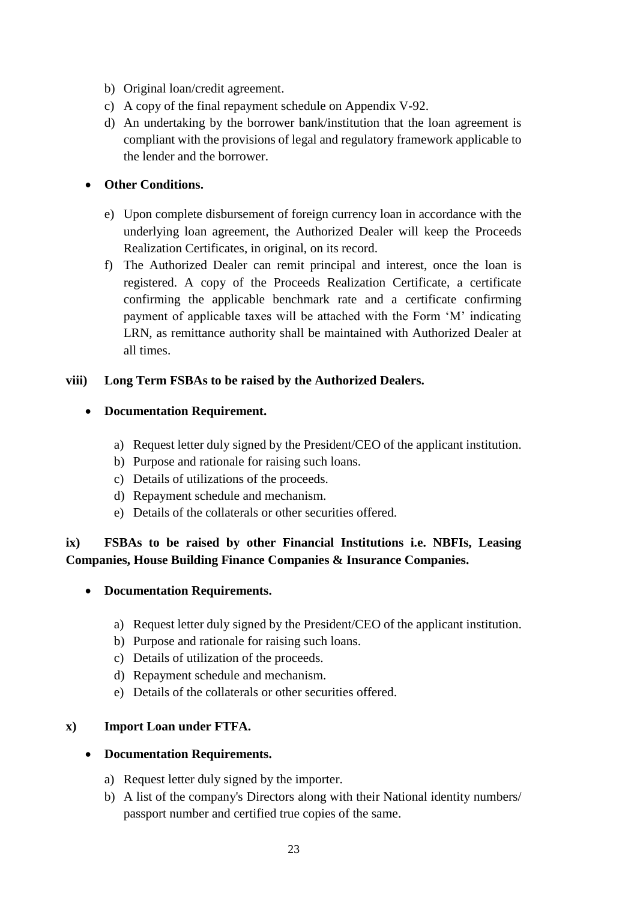- b) Original loan/credit agreement.
- c) A copy of the final repayment schedule on Appendix V-92.
- d) An undertaking by the borrower bank/institution that the loan agreement is compliant with the provisions of legal and regulatory framework applicable to the lender and the borrower.

### **Other Conditions.**

- e) Upon complete disbursement of foreign currency loan in accordance with the underlying loan agreement, the Authorized Dealer will keep the Proceeds Realization Certificates, in original, on its record.
- f) The Authorized Dealer can remit principal and interest, once the loan is registered. A copy of the Proceeds Realization Certificate, a certificate confirming the applicable benchmark rate and a certificate confirming payment of applicable taxes will be attached with the Form 'M' indicating LRN, as remittance authority shall be maintained with Authorized Dealer at all times.

### **viii) Long Term FSBAs to be raised by the Authorized Dealers.**

### **Documentation Requirement.**

- a) Request letter duly signed by the President/CEO of the applicant institution.
- b) Purpose and rationale for raising such loans.
- c) Details of utilizations of the proceeds.
- d) Repayment schedule and mechanism.
- e) Details of the collaterals or other securities offered.

## **ix) FSBAs to be raised by other Financial Institutions i.e. NBFIs, Leasing Companies, House Building Finance Companies & Insurance Companies.**

#### **Documentation Requirements.**

- a) Request letter duly signed by the President/CEO of the applicant institution.
- b) Purpose and rationale for raising such loans.
- c) Details of utilization of the proceeds.
- d) Repayment schedule and mechanism.
- e) Details of the collaterals or other securities offered.

#### **x) Import Loan under FTFA.**

#### **Documentation Requirements.**

- a) Request letter duly signed by the importer.
- b) A list of the company's Directors along with their National identity numbers/ passport number and certified true copies of the same.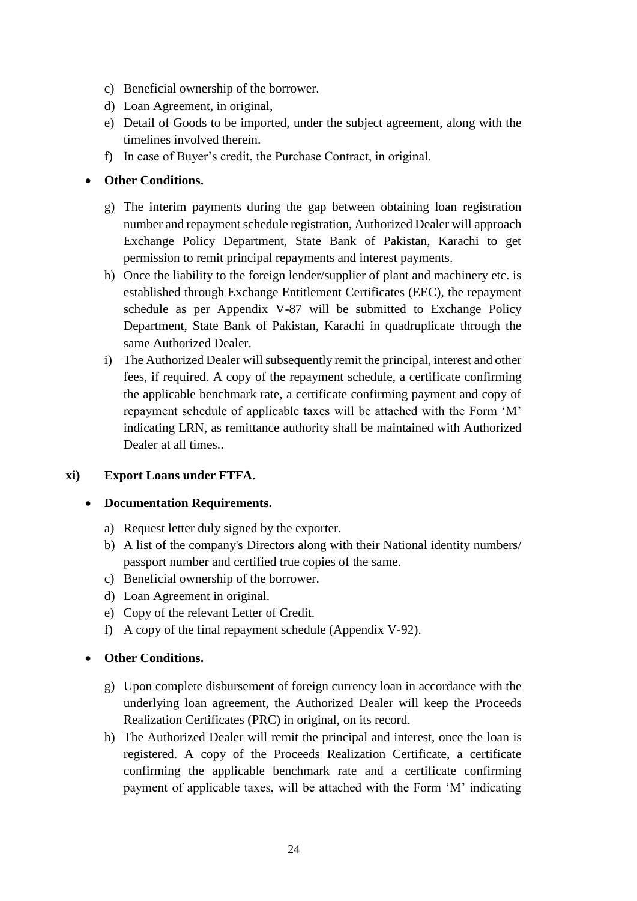- c) Beneficial ownership of the borrower.
- d) Loan Agreement, in original,
- e) Detail of Goods to be imported, under the subject agreement, along with the timelines involved therein.
- f) In case of Buyer's credit, the Purchase Contract, in original.

### **Other Conditions.**

- g) The interim payments during the gap between obtaining loan registration number and repayment schedule registration, Authorized Dealer will approach Exchange Policy Department, State Bank of Pakistan, Karachi to get permission to remit principal repayments and interest payments.
- h) Once the liability to the foreign lender/supplier of plant and machinery etc. is established through Exchange Entitlement Certificates (EEC), the repayment schedule as per Appendix V-87 will be submitted to Exchange Policy Department, State Bank of Pakistan, Karachi in quadruplicate through the same Authorized Dealer.
- i) The Authorized Dealer will subsequently remit the principal, interest and other fees, if required. A copy of the repayment schedule, a certificate confirming the applicable benchmark rate, a certificate confirming payment and copy of repayment schedule of applicable taxes will be attached with the Form 'M' indicating LRN, as remittance authority shall be maintained with Authorized Dealer at all times.

#### **xi) Export Loans under FTFA.**

#### **Documentation Requirements.**

- a) Request letter duly signed by the exporter.
- b) A list of the company's Directors along with their National identity numbers/ passport number and certified true copies of the same.
- c) Beneficial ownership of the borrower.
- d) Loan Agreement in original.
- e) Copy of the relevant Letter of Credit.
- f) A copy of the final repayment schedule (Appendix V-92).

#### **Other Conditions.**

- g) Upon complete disbursement of foreign currency loan in accordance with the underlying loan agreement, the Authorized Dealer will keep the Proceeds Realization Certificates (PRC) in original, on its record.
- h) The Authorized Dealer will remit the principal and interest, once the loan is registered. A copy of the Proceeds Realization Certificate, a certificate confirming the applicable benchmark rate and a certificate confirming payment of applicable taxes, will be attached with the Form 'M' indicating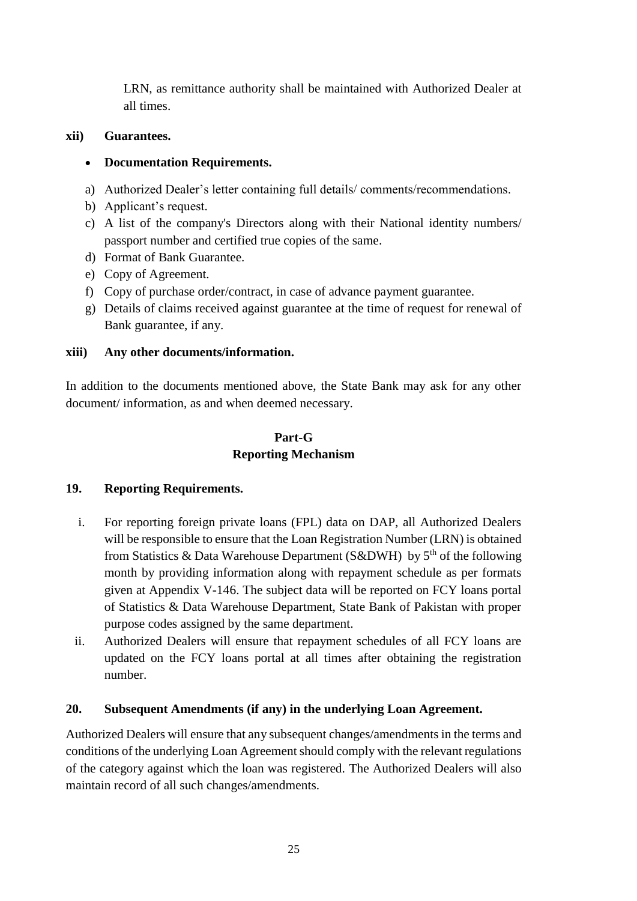LRN, as remittance authority shall be maintained with Authorized Dealer at all times.

## **xii) Guarantees.**

# **Documentation Requirements.**

- a) Authorized Dealer's letter containing full details/ comments/recommendations.
- b) Applicant's request.
- c) A list of the company's Directors along with their National identity numbers/ passport number and certified true copies of the same.
- d) Format of Bank Guarantee.
- e) Copy of Agreement.
- f) Copy of purchase order/contract, in case of advance payment guarantee.
- g) Details of claims received against guarantee at the time of request for renewal of Bank guarantee, if any.

# **xiii) Any other documents/information.**

In addition to the documents mentioned above, the State Bank may ask for any other document/ information, as and when deemed necessary.

# **Part-G Reporting Mechanism**

# **19. Reporting Requirements.**

- i. For reporting foreign private loans (FPL) data on DAP, all Authorized Dealers will be responsible to ensure that the Loan Registration Number (LRN) is obtained from Statistics & Data Warehouse Department (S&DWH) by  $5<sup>th</sup>$  of the following month by providing information along with repayment schedule as per formats given at Appendix V-146. The subject data will be reported on FCY loans portal of Statistics & Data Warehouse Department, State Bank of Pakistan with proper purpose codes assigned by the same department.
- ii. Authorized Dealers will ensure that repayment schedules of all FCY loans are updated on the FCY loans portal at all times after obtaining the registration number.

# **20. Subsequent Amendments (if any) in the underlying Loan Agreement.**

Authorized Dealers will ensure that any subsequent changes/amendments in the terms and conditions of the underlying Loan Agreement should comply with the relevant regulations of the category against which the loan was registered. The Authorized Dealers will also maintain record of all such changes/amendments.